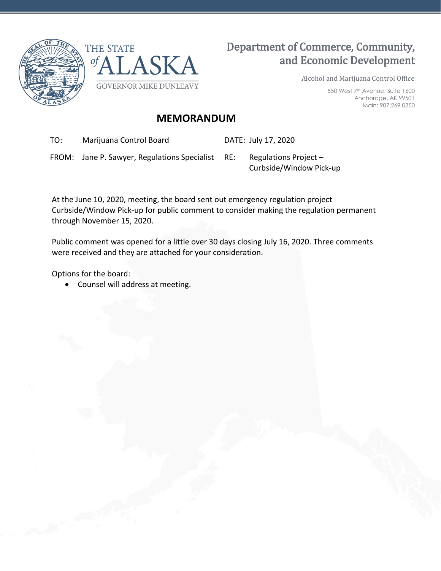



# Department of Commerce, Community, and Economic Development

Alcohol and Marijuana Control Office

550 West 7th Avenue, Suite 1600 Anchorage, AK 99501 Main: 907.269.0350

## **MEMORANDUM**

TO: Marijuana Control Board DATE: July 17, 2020

FROM: Jane P. Sawyer, Regulations Specialist RE: Regulations Project –

Curbside/Window Pick-up

At the June 10, 2020, meeting, the board sent out emergency regulation project Curbside/Window Pick-up for public comment to consider making the regulation permanent through November 15, 2020.

Public comment was opened for a little over 30 days closing July 16, 2020. Three comments were received and they are attached for your consideration.

Options for the board:

• Counsel will address at meeting.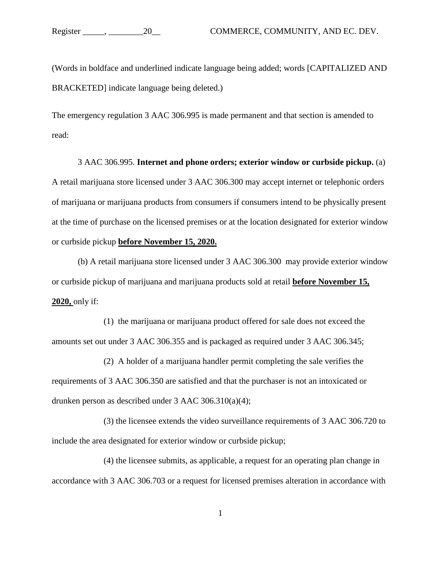(Words in boldface and underlined indicate language being added; words [CAPITALIZED AND BRACKETED] indicate language being deleted.)

The emergency regulation 3 AAC 306.995 is made permanent and that section is amended to read:

3 AAC 306.995. **Internet and phone orders; exterior window or curbside pickup.** (a) A retail marijuana store licensed under 3 AAC 306.300 may accept internet or telephonic orders of marijuana or marijuana products from consumers if consumers intend to be physically present at the time of purchase on the licensed premises or at the location designated for exterior window or curbside pickup **before November 15, 2020.**

(b) A retail marijuana store licensed under 3 AAC 306.300 may provide exterior window or curbside pickup of marijuana and marijuana products sold at retail **before November 15, 2020,** only if:

(1) the marijuana or marijuana product offered for sale does not exceed the amounts set out under 3 AAC 306.355 and is packaged as required under 3 AAC 306.345;

(2) A holder of a marijuana handler permit completing the sale verifies the requirements of 3 AAC 306.350 are satisfied and that the purchaser is not an intoxicated or drunken person as described under 3 AAC 306.310(a)(4);

(3) the licensee extends the video surveillance requirements of 3 AAC 306.720 to include the area designated for exterior window or curbside pickup;

(4) the licensee submits, as applicable, a request for an operating plan change in accordance with 3 AAC 306.703 or a request for licensed premises alteration in accordance with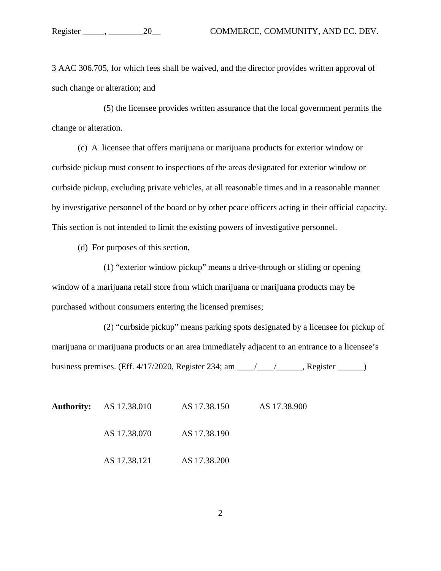3 AAC 306.705, for which fees shall be waived, and the director provides written approval of such change or alteration; and

(5) the licensee provides written assurance that the local government permits the change or alteration.

(c) A licensee that offers marijuana or marijuana products for exterior window or curbside pickup must consent to inspections of the areas designated for exterior window or curbside pickup, excluding private vehicles, at all reasonable times and in a reasonable manner by investigative personnel of the board or by other peace officers acting in their official capacity. This section is not intended to limit the existing powers of investigative personnel.

(d) For purposes of this section,

(1) "exterior window pickup" means a drive-through or sliding or opening window of a marijuana retail store from which marijuana or marijuana products may be purchased without consumers entering the licensed premises;

(2) "curbside pickup" means parking spots designated by a licensee for pickup of marijuana or marijuana products or an area immediately adjacent to an entrance to a licensee's business premises. (Eff. 4/17/2020, Register 234; am \_\_\_\_/\_\_\_\_/\_\_\_\_\_\_, Register \_\_\_\_\_\_)

|  | <b>Authority:</b> AS 17.38.010 | AS 17.38.150 | AS 17.38.900 |
|--|--------------------------------|--------------|--------------|
|  | AS 17.38.070                   | AS 17.38.190 |              |
|  | AS 17.38.121                   | AS 17.38.200 |              |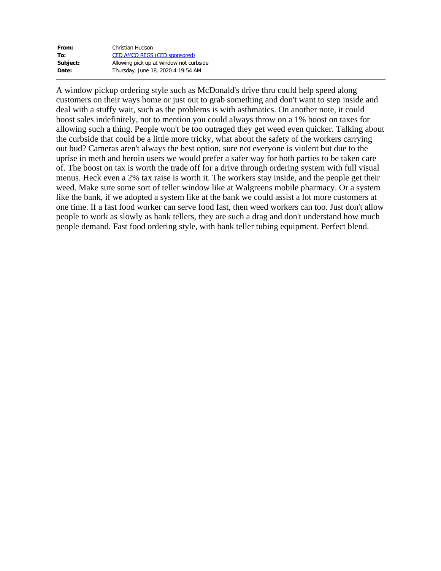| From:    | Christian Hudson                        |
|----------|-----------------------------------------|
| To:      | <b>CED AMCO REGS (CED sponsored)</b>    |
| Subject: | Allowing pick up at window not curbside |
| Date:    | Thursday, June 18, 2020 4:19:54 AM      |

A window pickup ordering style such as McDonald's drive thru could help speed along customers on their ways home or just out to grab something and don't want to step inside and deal with a stuffy wait, such as the problems is with asthmatics. On another note, it could boost sales indefinitely, not to mention you could always throw on a 1% boost on taxes for allowing such a thing. People won't be too outraged they get weed even quicker. Talking about the curbside that could be a little more tricky, what about the safety of the workers carrying out bud? Cameras aren't always the best option, sure not everyone is violent but due to the uprise in meth and heroin users we would prefer a safer way for both parties to be taken care of. The boost on tax is worth the trade off for a drive through ordering system with full visual menus. Heck even a 2% tax raise is worth it. The workers stay inside, and the people get their weed. Make sure some sort of teller window like at Walgreens mobile pharmacy. Or a system like the bank, if we adopted a system like at the bank we could assist a lot more customers at one time. If a fast food worker can serve food fast, then weed workers can too. Just don't allow people to work as slowly as bank tellers, they are such a drag and don't understand how much people demand. Fast food ordering style, with bank teller tubing equipment. Perfect blend.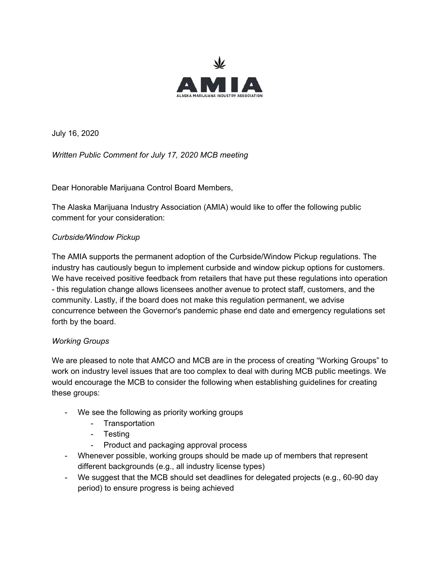

July 16, 2020

*Written Public Comment for July 17, 2020 MCB meeting*

Dear Honorable Marijuana Control Board Members,

The Alaska Marijuana Industry Association (AMIA) would like to offer the following public comment for your consideration:

#### *Curbside/Window Pickup*

The AMIA supports the permanent adoption of the Curbside/Window Pickup regulations. The industry has cautiously begun to implement curbside and window pickup options for customers. We have received positive feedback from retailers that have put these regulations into operation - this regulation change allows licensees another avenue to protect staff, customers, and the community. Lastly, if the board does not make this regulation permanent, we advise concurrence between the Governor's pandemic phase end date and emergency regulations set forth by the board.

#### *Working Groups*

We are pleased to note that AMCO and MCB are in the process of creating "Working Groups" to work on industry level issues that are too complex to deal with during MCB public meetings. We would encourage the MCB to consider the following when establishing guidelines for creating these groups:

- We see the following as priority working groups
	- Transportation
	- Testing
	- Product and packaging approval process
- Whenever possible, working groups should be made up of members that represent different backgrounds (e.g., all industry license types)
- We suggest that the MCB should set deadlines for delegated projects (e.g., 60-90 day period) to ensure progress is being achieved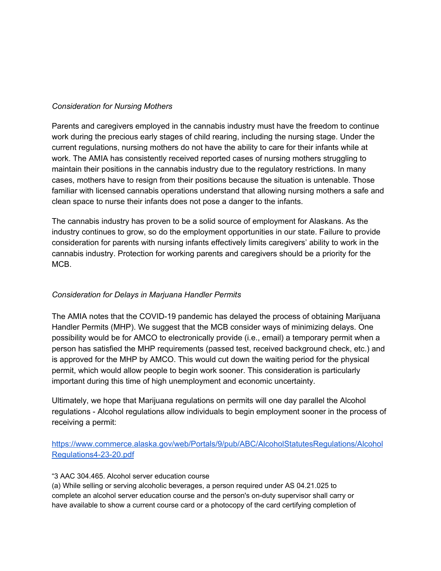#### *Consideration for Nursing Mothers*

Parents and caregivers employed in the cannabis industry must have the freedom to continue work during the precious early stages of child rearing, including the nursing stage. Under the current regulations, nursing mothers do not have the ability to care for their infants while at work. The AMIA has consistently received reported cases of nursing mothers struggling to maintain their positions in the cannabis industry due to the regulatory restrictions. In many cases, mothers have to resign from their positions because the situation is untenable. Those familiar with licensed cannabis operations understand that allowing nursing mothers a safe and clean space to nurse their infants does not pose a danger to the infants.

The cannabis industry has proven to be a solid source of employment for Alaskans. As the industry continues to grow, so do the employment opportunities in our state. Failure to provide consideration for parents with nursing infants effectively limits caregivers' ability to work in the cannabis industry. Protection for working parents and caregivers should be a priority for the MCB.

### *Consideration for Delays in Marjuana Handler Permits*

The AMIA notes that the COVID-19 pandemic has delayed the process of obtaining Marijuana Handler Permits (MHP). We suggest that the MCB consider ways of minimizing delays. One possibility would be for AMCO to electronically provide (i.e., email) a temporary permit when a person has satisfied the MHP requirements (passed test, received background check, etc.) and is approved for the MHP by AMCO. This would cut down the waiting period for the physical permit, which would allow people to begin work sooner. This consideration is particularly important during this time of high unemployment and economic uncertainty.

Ultimately, we hope that Marijuana regulations on permits will one day parallel the Alcohol regulations - Alcohol regulations allow individuals to begin employment sooner in the process of receiving a permit:

[https://www.commerce.alaska.gov/web/Portals/9/pub/ABC/AlcoholStatutesRegulations/Alcohol](https://www.commerce.alaska.gov/web/Portals/9/pub/ABC/AlcoholStatutesRegulations/AlcoholRegulations4-23-20.pdf) [Regulations4-23-20.pdf](https://www.commerce.alaska.gov/web/Portals/9/pub/ABC/AlcoholStatutesRegulations/AlcoholRegulations4-23-20.pdf)

#### "3 AAC 304.465. Alcohol server education course

(a) While selling or serving alcoholic beverages, a person required under AS 04.21.025 to complete an alcohol server education course and the person's on-duty supervisor shall carry or have available to show a current course card or a photocopy of the card certifying completion of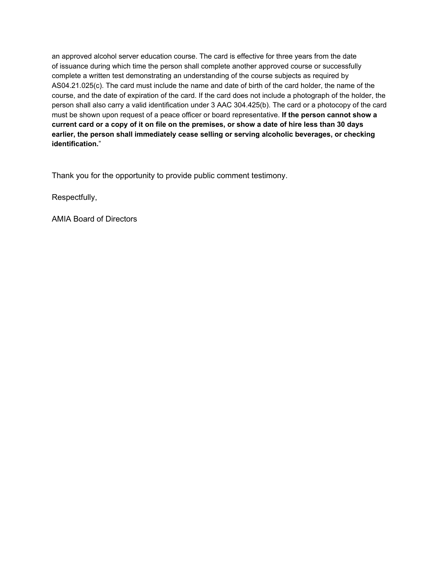an approved alcohol server education course. The card is effective for three years from the date of issuance during which time the person shall complete another approved course or successfully complete a written test demonstrating an understanding of the course subjects as required by AS04.21.025(c). The card must include the name and date of birth of the card holder, the name of the course, and the date of expiration of the card. If the card does not include a photograph of the holder, the person shall also carry a valid identification under 3 AAC 304.425(b). The card or a photocopy of the card must be shown upon request of a peace officer or board representative. **If the person cannot show a** current card or a copy of it on file on the premises, or show a date of hire less than 30 days **earlier, the person shall immediately cease selling or serving alcoholic beverages, or checking identification.**"

Thank you for the opportunity to provide public comment testimony.

Respectfully,

AMIA Board of Directors